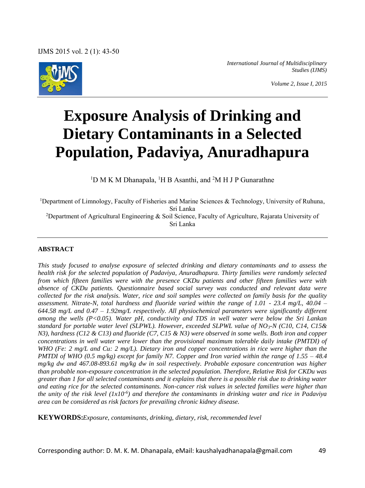

*International Journal of Multidisciplinary Studies (IJMS)* 

# **Exposure Analysis of Drinking and Dietary Contaminants in a Selected Population, Padaviya, Anuradhapura**

<sup>1</sup>D M K M Dhanapala, <sup>1</sup>H B Asanthi, and <sup>2</sup>M H J P Gunarathne

<sup>1</sup>Department of Limnology, Faculty of Fisheries and Marine Sciences & Technology, University of Ruhuna, Sri Lanka <sup>2</sup>Department of Agricultural Engineering & Soil Science, Faculty of Agriculture, Rajarata University of Sri Lanka

## **ABSTRACT**

*This study focused to analyse exposure of selected drinking and dietary contaminants and to assess the health risk for the selected population of Padaviya, Anuradhapura. Thirty families were randomly selected from which fifteen families were with the presence CKDu patients and other fifteen families were with absence of CKDu patients. Questionnaire based social survey was conducted and relevant data were collected for the risk analysis. Water, rice and soil samples were collected on family basis for the quality assessment. Nitrate-N, total hardness and fluoride varied within the range of 1.01 - 23.4 mg/L, 40.04 – 644.58 mg/L and 0.47 – 1.92mg/L respectively. All physiochemical parameters were significantly different among the wells (P<0.05). Water pH, conductivity and TDS in well water were below the Sri Lankan standard for portable water level (SLPWL). However, exceeded SLPWL value of NO3-N (C10, C14, C15& N3), hardness (C12 & C13) and fluoride (C7, C15 & N3) were observed in some wells. Both iron and copper concentrations in well water were lower than the provisional maximum tolerable daily intake (PMTDI) of WHO (Fe: 2 mg/L and Cu: 2 mg/L). Dietary iron and copper concentrations in rice were higher than the PMTDI of WHO (0.5 mg/kg) except for family N7. Copper and Iron varied within the range of 1.55 – 48.4 mg/kg dw and 467.08-893.61 mg/kg dw in soil respectively. Probable exposure concentration was higher than probable non-exposure concentration in the selected population. Therefore, Relative Risk for CKDu was greater than 1 for all selected contaminants and it explains that there is a possible risk due to drinking water and eating rice for the selected contaminants. Non-cancer risk values in selected families were higher than the unity of the risk level (1x10-6) and therefore the contaminants in drinking water and rice in Padaviya area can be considered as risk factors for prevailing chronic kidney disease.* 

**KEYWORDS:***Exposure, contaminants, drinking, dietary, risk, recommended level*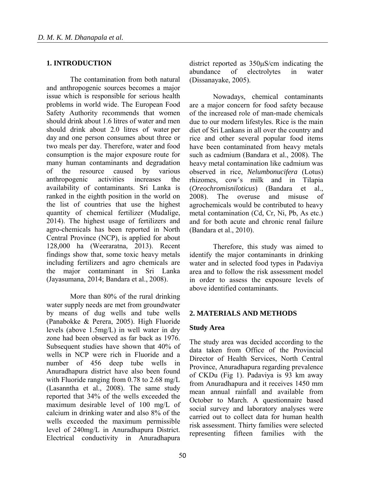## **1. INTRODUCTION**

The contamination from both natural and anthropogenic sources becomes a major issue which is responsible for serious health problems in world wide. The European Food Safety Authority recommends that women should drink about 1.6 litres of water and men should drink about 2.0 litres of water per day and one person consumes about three or two meals per day. Therefore, water and food consumption is the major exposure route for many human contaminants and degradation of the resource caused by various anthropogenic activities increases the availability of contaminants. Sri Lanka is ranked in the eighth position in the world on the list of countries that use the highest quantity of chemical fertilizer (Mudalige, 2014). The highest usage of fertilizers and agro-chemicals has been reported in North Central Province (NCP), is applied for about 128,000 ha (Weeraratna, 2013). Recent findings show that, some toxic heavy metals including fertilizers and agro chemicals are the major contaminant in Sri Lanka (Jayasumana, 2014; Bandara et al., 2008).

More than 80% of the rural drinking water supply needs are met from groundwater by means of dug wells and tube wells (Panabokke & Perera, 2005). High Fluoride levels (above 1.5mg/L) in well water in dry zone had been observed as far back as 1976. Subsequent studies have shown that 40% of wells in NCP were rich in Fluoride and a number of 456 deep tube wells in Anuradhapura district have also been found with Fluoride ranging from 0.78 to 2.68 mg/L (Lasanntha et al., 2008). The same study reported that 34% of the wells exceeded the maximum desirable level of 100 mg/L of calcium in drinking water and also 8% of the wells exceeded the maximum permissible level of 240mg/L in Anuradhapura District. Electrical conductivity in Anuradhapura

district reported as  $350\mu$ S/cm indicating the abundance of electrolytes in water (Dissanayake, 2005).

Nowadays, chemical contaminants are a major concern for food safety because of the increased role of man-made chemicals due to our modern lifestyles. Rice is the main diet of Sri Lankans in all over the country and rice and other several popular food items have been contaminated from heavy metals such as cadmium (Bandara et al., 2008). The heavy metal contamination like cadmium was observed in rice, *Nelumbonucifera* (Lotus) rhizomes, cow's milk and in Tilapia (*Oreochromisniloticus*) (Bandara et al., 2008). The overuse and misuse of agrochemicals would be contributed to heavy metal contamination (Cd, Cr, Ni, Pb, As etc.) and for both acute and chronic renal failure (Bandara et al., 2010).

Therefore, this study was aimed to identify the major contaminants in drinking water and in selected food types in Padaviya area and to follow the risk assessment model in order to assess the exposure levels of above identified contaminants.

## **2. MATERIALS AND METHODS**

## **Study Area**

The study area was decided according to the data taken from Office of the Provincial Director of Health Services, North Central Province, Anuradhapura regarding prevalence of CKDu (Fig 1). Padaviya is 93 km away from Anuradhapura and it receives 1450 mm mean annual rainfall and available from October to March. A questionnaire based social survey and laboratory analyses were carried out to collect data for human health risk assessment. Thirty families were selected representing fifteen families with the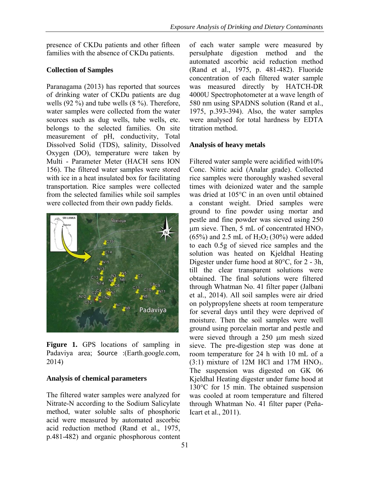presence of CKDu patients and other fifteen families with the absence of CKDu patients.

# **Collection of Samples**

Paranagama (2013) has reported that sources of drinking water of CKDu patients are dug wells (92 %) and tube wells (8 %). Therefore, water samples were collected from the water sources such as dug wells, tube wells, etc. belongs to the selected families. On site measurement of pH, conductivity, Total Dissolved Solid (TDS), salinity, Dissolved Oxygen (DO), temperature were taken by Multi - Parameter Meter (HACH sens ION 156). The filtered water samples were stored with ice in a heat insulated box for facilitating transportation. Rice samples were collected from the selected families while soil samples were collected from their own paddy fields.



**Figure 1.** GPS locations of sampling in Padaviya area; Source :(Earth.google.com, 2014)

# **Analysis of chemical parameters**

The filtered water samples were analyzed for Nitrate-N according to the Sodium Salicylate method, water soluble salts of phosphoric acid were measured by automated ascorbic acid reduction method (Rand et al., 1975, p.481-482) and organic phosphorous content of each water sample were measured by persulphate digestion method and the automated ascorbic acid reduction method (Rand et al., 1975, p. 481-482). Fluoride concentration of each filtered water sample was measured directly by HATCH-DR 4000U Spectrophotometer at a wave length of 580 nm using SPADNS solution (Rand et al., 1975, p.393-394). Also, the water samples were analysed for total hardness by EDTA titration method.

# **Analysis of heavy metals**

Filtered water sample were acidified with10% Conc. Nitric acid (Analar grade). Collected rice samples were thoroughly washed several times with deionized water and the sample was dried at 105°C in an oven until obtained a constant weight. Dried samples were ground to fine powder using mortar and pestle and fine powder was sieved using 250  $\mu$ m sieve. Then, 5 mL of concentrated HNO<sub>3</sub>  $(65%)$  and 2.5 mL of H<sub>2</sub>O<sub>2</sub> (30%) were added to each 0.5g of sieved rice samples and the solution was heated on Kjeldhal Heating Digester under fume hood at 80°C, for 2 - 3h, till the clear transparent solutions were obtained. The final solutions were filtered through Whatman No. 41 filter paper (Jalbani et al., 2014). All soil samples were air dried on polypropylene sheets at room temperature for several days until they were deprived of moisture. Then the soil samples were well ground using porcelain mortar and pestle and were sieved through a 250 µm mesh sized sieve. The pre-digestion step was done at room temperature for 24 h with 10 mL of a  $(3:1)$  mixture of 12M HCl and 17M HNO<sub>3</sub>. The suspension was digested on GK 06 Kjeldhal Heating digester under fume hood at 130°C for 15 min. The obtained suspension was cooled at room temperature and filtered through Whatman No. 41 filter paper (Peña-Icart et al., 2011).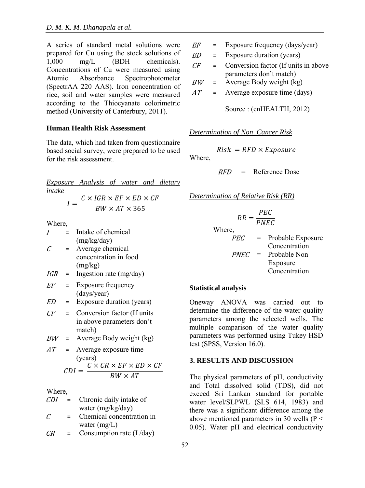A series of standard metal solutions were prepared for Cu using the stock solutions of 1,000 mg/L (BDH chemicals).  $mg/L$  (BDH chemicals). Concentrations of Cu were measured using Atomic Absorbance Spectrophotometer (SpectrAA 220 AAS). Iron concentration of rice, soil and water samples were measured according to the Thiocyanate colorimetric method (University of Canterbury, 2011).

#### **Human Health Risk Assessment**

The data, which had taken from questionnaire based social survey, were prepared to be used for the risk assessment.

*Exposure Analysis of water and dietary intake*  $C \vee ICD \vee EF \vee FD \vee CF$ 

$$
I = \frac{C \times I \cdot U \cdot K \times E \cdot F \times E \cdot D \times C \cdot F}{BW \times AT \times 365}
$$

Where,

|                       |     | Intake of chemical          |
|-----------------------|-----|-----------------------------|
|                       |     | (mg/kg/day)                 |
| $\mathcal{C}_{0}^{2}$ | $=$ | Average chemical            |
|                       |     | concentration in food       |
|                       |     | (mg/kg)                     |
| IGR                   | $=$ | Ingestion rate (mg/day)     |
| EF                    | $=$ | Exposure frequency          |
|                       |     | (days/year)                 |
| ED                    | =   | Exposure duration (years)   |
| $\sqrt{F}$            | $=$ | Conversion factor (If units |
|                       |     | in above parameters don't   |
|                       |     | match)                      |
| BW                    |     | Average Body weight (kg)    |

 $AT =$  Average exposure time (years)  $CDI = C \times CR \times EF \times ED \times CF$  $\overline{RW \times AT}$ 

Where,

| CDI | $=$ | Chronic daily intake of |
|-----|-----|-------------------------|
|     |     | water (mg/kg/day)       |
|     |     |                         |

- $C =$  Chemical concentration in water (mg/L)
- $CR =$  Consumption rate (L/day)
- $EF$  = Exposure frequency (days/year)
- $ED =$  Exposure duration (years)
- $CF =$  Conversion factor (If units in above parameters don't match)
- $BW =$  Average Body weight (kg)
- $AT =$  Average exposure time (days)

Source : (enHEALTH, 2012)

## *Determination of Non\_Cancer Risk*

 $Risk = RFD \times Exposure$ 

Where,

 $RFD$  = Reference Dose

*Determination of Relative Risk (RR)* 

$$
RR = \frac{PEC}{PNEC}
$$

Where,

$$
PEC = \text{Probable Exposure} \atop \text{Concentration} \atop \text{Frobable Non} \atop \text{Exposure} \atop \text{Concentration}
$$

### **Statistical analysis**

Oneway ANOVA was carried out to determine the difference of the water quality parameters among the selected wells. The multiple comparison of the water quality parameters was performed using Tukey HSD test (SPSS, Version 16.0).

#### **3. RESULTS AND DISCUSSION**

The physical parameters of pH, conductivity and Total dissolved solid (TDS), did not exceed Sri Lankan standard for portable water level/SLPWL (SLS 614, 1983) and there was a significant difference among the above mentioned parameters in 30 wells ( $P \le$ 0.05). Water pH and electrical conductivity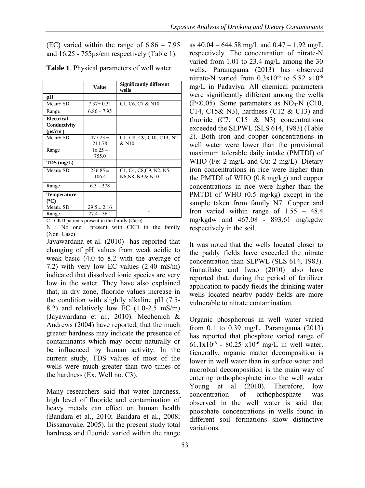(EC) varied within the range of 6.86 – 7.95 and  $16.25 - 755\mu s/cm$  respectively (Table 1).

|                                            | Value                  | <b>Significantly different</b><br>wells                                                                                   |  |  |
|--------------------------------------------|------------------------|---------------------------------------------------------------------------------------------------------------------------|--|--|
| рH                                         |                        |                                                                                                                           |  |  |
| $Mean \pm SD$                              | $7.37 \pm 0.31$        | C1, C6, C7 & N10                                                                                                          |  |  |
| Range                                      | $6.86 - 7.95$          |                                                                                                                           |  |  |
| Electrical<br>Conductivity<br>$(\mu s/cm)$ |                        |                                                                                                                           |  |  |
| $Mean \pm SD$                              | $477.23 \pm$<br>211.78 | C1, C8, C9, C10, C13, N2<br>&N10                                                                                          |  |  |
| Range                                      | $16.25 -$<br>755.0     |                                                                                                                           |  |  |
| $TDS$ (mg/L)                               |                        |                                                                                                                           |  |  |
| Mean $\pm$ SD                              | $236.85 \pm$<br>106.4  | C <sub>1</sub> , C <sub>4</sub> , C <sub>8</sub> , C <sub>9</sub> , N <sub>2</sub> , N <sub>5</sub> ,<br>N6, N8, N9 & N10 |  |  |
| Range                                      | $6.3 - 378$            |                                                                                                                           |  |  |
| <b>Temperature</b><br>(°C)                 |                        |                                                                                                                           |  |  |
| $Mean \pm SD$                              | $29.5 \pm 2.16$        |                                                                                                                           |  |  |
| Range                                      | $27.4 - 36.1$          |                                                                                                                           |  |  |

**Table 1**. Physical parameters of well water

C : CKD patients present in the family (Case)

N : No one present with CKD in the family (Non\_Case)

Jayawardana et al. (2010) has reported that changing of pH values from weak acidic to weak basic (4.0 to 8.2 with the average of 7.2) with very low EC values (2.40 mS/m) indicated that dissolved ionic species are very low in the water. They have also explained that, in dry zone, fluoride values increase in the condition with slightly alkaline pH (7.5- 8.2) and relatively low EC (1.0-2.5 mS/m) (Jayawardana et al., 2010). Mechenich & Andrews (2004) have reported, that the much greater hardness may indicate the presence of contaminants which may occur naturally or be influenced by human activity. In the current study, TDS values of most of the wells were much greater than two times of the hardness (Ex. Well no. C3).

Many researchers said that water hardness, high level of fluoride and contamination of heavy metals can effect on human health (Bandara et al., 2010; Bandara et al., 2008; Dissanayake, 2005). In the present study total hardness and fluoride varied within the range

as  $40.04 - 644.58$  mg/L and  $0.47 - 1.92$  mg/L respectively. The concentration of nitrate-N varied from 1.01 to 23.4 mg/L among the 30 wells. Paranagama (2013) has observed nitrate-N varied from  $0.3x10^{-6}$  to  $5.82 \times 10^{-6}$ mg/L in Padaviya. All chemical parameters were significantly different among the wells  $(P<0.05)$ . Some parameters as NO<sub>3</sub>-N (C10, C14, C15& N3), hardness (C12 & C13) and fluoride  $(C7, C15 \& N3)$  concentrations exceeded the SLPWL (SLS 614, 1983) (Table 2). Both iron and copper concentrations in well water were lower than the provisional maximum tolerable daily intake (PMTDI) of WHO (Fe: 2 mg/L and Cu: 2 mg/L). Dietary iron concentrations in rice were higher than the PMTDI of WHO (0.8 mg/kg) and copper concentrations in rice were higher than the PMTDI of WHO (0.5 mg/kg) except in the sample taken from family N7. Copper and Iron varied within range of 1.55 – 48.4 mg/kgdw and 467.08 - 893.61 mg/kgdw respectively in the soil.

It was noted that the wells located closer to the paddy fields have exceeded the nitrate concentration than SLPWL (SLS 614, 1983). Gunatilake and Iwao (2010) also have reported that, during the period of fertilizer application to paddy fields the drinking water wells located nearby paddy fields are more vulnerable to nitrate contamination.

Organic phosphorous in well water varied from 0.1 to 0.39 mg/L. Paranagama  $(2013)$ has reported that phosphate varied range of 61.1x10<sup>-6</sup> - 80.25 x10<sup>-6</sup> mg/L in well water. Generally, organic matter decomposition is lower in well water than in surface water and microbial decomposition is the main way of entering orthophosphate into the well water Young et al (2010). Therefore, low concentration of orthophosphate was observed in the well water is said that phosphate concentrations in wells found in different soil formations show distinctive variations.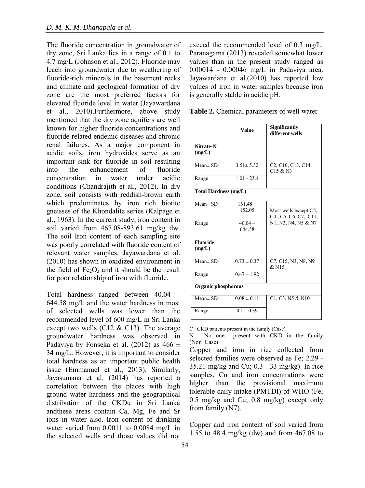The fluoride concentration in groundwater of dry zone, Sri Lanka lies in a range of 0.1 to 4.7 mg/L (Johnson et al., 2012). Fluoride may leach into groundwater due to weathering of fluoride-rich minerals in the basement rocks and climate and geological formation of dry zone are the most preferred factors for elevated fluoride level in water (Jayawardana et al., 2010).Furthermore, above study mentioned that the dry zone aquifers are well known for higher fluoride concentrations and fluoride-related endemic diseases and chronic renal failures. As a major component in acidic soils, iron hydroxides serve as an important sink for fluoride in soil resulting into the enhancement of fluoride concentration in water under acidic conditions (Chandrajith et al., 2012). In dry zone, soil consists with reddish-brown earth which predominates by iron rich biotite gneisses of the Khondalite series (Kalpage et al., 1963). In the current study, iron content in soil varied from 467.08-893.61 mg/kg dw. The soil Iron content of each sampling site was poorly correlated with fluoride content of relevant water samples. Jayawardana et al. (2010) has shown in oxidized environment in the field of  $Fe<sub>2</sub>O<sub>3</sub>$  and it should be the result for poor relationship of iron with fluoride.

Total hardness ranged between 40.04 – 644.58 mg/L and the water hardness in most of selected wells was lower than the recommended level of 600 mg/L in Sri Lanka except two wells (C12  $&$  C13). The average groundwater hardness was observed in Padaviya by Fonseka et al. (2012) as  $466 \pm$ 34 mg/L. However, it is important to consider total hardness as an important public health issue (Emmanuel et al., 2013). Similarly, Jayasumana et al. (2014) has reported a correlation between the places with high ground water hardness and the geographical distribution of the CKDu in Sri Lanka andthese areas contain Ca, Mg, Fe and Sr ions in water also. Iron content of drinking water varied from 0.0011 to 0.0084 mg/L in the selected wells and those values did not

54

exceed the recommended level of 0.3 mg/L. Paranagama (2013) revealed somewhat lower values than in the present study ranged as 0.00014 - 0.00046 mg/L in Padaviya area. Jayawardana et al.(2010) has reported low values of iron in water samples because iron is generally stable in acidic pH.

|                              | <b>Value</b>           | <b>Significantly</b><br>different wells                                                                        |  |  |
|------------------------------|------------------------|----------------------------------------------------------------------------------------------------------------|--|--|
| Nitrate-N<br>(mg/L)          |                        |                                                                                                                |  |  |
| $Mean \pm SD$                | $3.51 \pm 5.32$        | C <sub>2</sub> , C <sub>10</sub> , C <sub>13</sub> , C <sub>14</sub> ,<br>$C15 &$ N3                           |  |  |
| Range                        | $1.01 - 23.4$          |                                                                                                                |  |  |
| <b>Total Hardness (mg/L)</b> |                        |                                                                                                                |  |  |
| $Mean \pm SD$                | $161.48 \pm$<br>152.05 | Most wells except C2,<br>C <sub>4</sub> , C <sub>5</sub> , C <sub>6</sub> , C <sub>7</sub> , C <sub>11</sub> , |  |  |
| Range                        | $40.04 -$<br>644.58    | N1, N2, N4, N5 & N7                                                                                            |  |  |
| <b>Fluoride</b><br>(mg/L)    |                        |                                                                                                                |  |  |
| $Mean \pm SD$                | $0.73 \pm 0.37$        | C7, C15, N3, N8, N9<br>&N15                                                                                    |  |  |
| Range                        | $0.47 - 1.92$          |                                                                                                                |  |  |
| Organic phosphorous          |                        |                                                                                                                |  |  |
| $Mean \pm SD$                | $0.08 \pm 0.11$        | C1, C3, N5 & N10                                                                                               |  |  |
| Range                        | $0.1 - 0.39$           |                                                                                                                |  |  |

C : CKD patients present in the family (Case)

Copper and iron content of soil varied from 1.55 to 48.4 mg/kg (dw) and from 467.08 to

N : No one present with CKD in the family (Non Case)

Copper and iron in rice collected from selected families were observed as Fe; 2.29 - 35.21 mg/kg and Cu; 0.3 - 33 mg/kg). In rice samples. Cu and iron concentrations were higher than the provisional maximum tolerable daily intake (PMTDI) of WHO (Fe; 0.5 mg/kg and Cu; 0.8 mg/kg) except only from family (N7).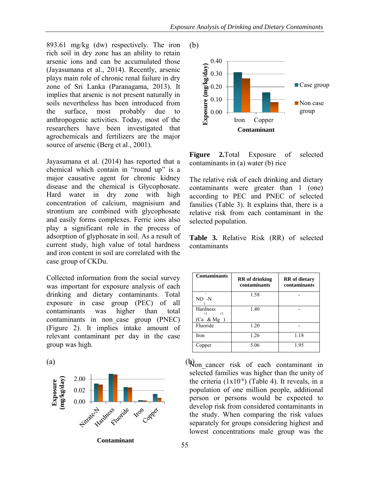893.61 mg/kg (dw) respectively. The iron rich soil in dry zone has an ability to retain arsenic ions and can be accumulated those (Jayasumana et al., 2014). Recently, arsenic plays main role of chronic renal failure in dry zone of Sri Lanka (Paranagama, 2013). It implies that arsenic is not present naturally in soils nevertheless has been introduced from the surface, most probably due to anthropogenic activities. Today, most of the researchers have been investigated that agrochemicals and fertilizers are the major source of arsenic (Berg et al., 2001).

Jayasumana et al. (2014) has reported that a chemical which contain in "round up" is a major causative agent for chronic kidney disease and the chemical is Glycophosate. Hard water in dry zone with high concentration of calcium, magnisium and strontium are combined with glycophosate and easily forms complexes. Ferric ions also play a significant role in the process of adsorption of glyphosate in soil. As a result of current study, high value of total hardness and iron content in soil are correlated with the case group of CKDu.

Collected information from the social survey was important for exposure analysis of each drinking and dietary contaminants. Total exposure in case group (PEC) of all contaminants was higher than total contaminants in non\_case group (PNEC) (Figure 2). It implies intake amount of relevant contaminant per day in the case group was high.

(a)  $(\mathfrak{h})$ 2.00 **Exposure (mg/kg/day)** 0.02 0.00 Ess ride **Ifon** Copp **Contaminant**



**Figure 2.**Total Exposure of selected contaminants in (a) water (b) rice

The relative risk of each drinking and dietary contaminants were greater than 1 (one) according to PEC and PNEC of selected families (Table 3). It explains that, there is a relative risk from each contaminant in the selected population.

**Table 3.** Relative Risk (RR) of selected contaminants

| <b>Contaminants</b>                      | <b>RR</b> of drinking<br>contaminants | <b>RR</b> of dietary<br>contaminants |  |
|------------------------------------------|---------------------------------------|--------------------------------------|--|
| $NO - N$                                 | 1.58                                  |                                      |  |
| Hardness<br>$+2$<br>$+2$<br>$(Ca \& Mg)$ | 1.40                                  |                                      |  |
| Fluoride                                 | 1.20                                  |                                      |  |
| Iron                                     | 1.26                                  | 1.18                                 |  |
| Copper                                   | 5.06                                  | 1.95                                 |  |

(R) cancer risk of each contaminant in selected families was higher than the unity of the criteria  $(1x10^{-6})$  (Table 4). It reveals, in a population of one million people, additional person or persons would be expected to develop risk from considered contaminants in the study. When comparing the risk values separately for groups considering highest and lowest concentrations male group was the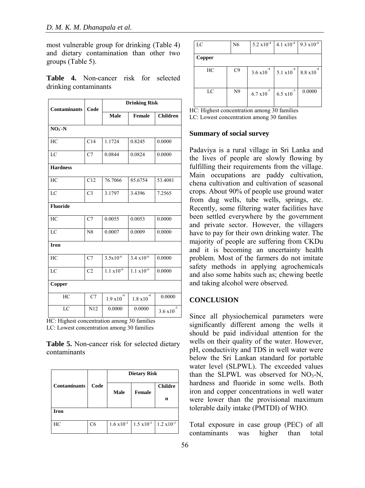most vulnerable group for drinking (Table 4) and dietary contamination than other two groups (Table 5).

|                       |  | Table 4. Non-cancer risk for selected |  |  |
|-----------------------|--|---------------------------------------|--|--|
| drinking contaminants |  |                                       |  |  |

| <b>Contaminants</b> | Code           | <b>Drinking Risk</b> |                                |                       |  |
|---------------------|----------------|----------------------|--------------------------------|-----------------------|--|
|                     |                | <b>Male</b>          | Female                         | <b>Children</b>       |  |
| $NO3 - N$           |                |                      |                                |                       |  |
| HC                  | C14            | 1.1724               | 0.8245                         | 0.0000                |  |
| LC                  | C7             | 0.0844               | 0.0824                         | 0.0000                |  |
| <b>Hardness</b>     |                |                      |                                |                       |  |
| HC                  | C12            | 76.7066              | 85.6754                        | 53.4081               |  |
| LC                  | C <sub>3</sub> | 3.1797               | 3.4396                         | 7.2565                |  |
| <b>Fluoride</b>     |                |                      |                                |                       |  |
| HC                  | C7             | 0.0055               | 0.0053                         | 0.0000                |  |
| LC                  | N8             | 0.0007               | 0.0009                         | 0.0000                |  |
| <b>Iron</b>         |                |                      |                                |                       |  |
| HC                  | C7             | $3.5x10^{-6}$        | $3.4 \times 10^{-6}$           | 0.0000                |  |
| LC                  | C <sub>2</sub> | $1.1 \times 10^{-6}$ | $1.1 \times 10^{-6}$           | 0.0000                |  |
| Copper              |                |                      |                                |                       |  |
| HC                  | C7             | $1.9\times10^{4}$    | $^{\rm -4}$<br>$1.8 \times 10$ | 0.0000                |  |
| LC                  | N12            | 0.0000               | 0.0000                         | -5<br>$3.6 \times 10$ |  |

HC: Highest concentration among 30 families LC: Lowest concentration among 30 families

**Table 5.** Non-cancer risk for selected dietary contaminants

|                     | Code           | <b>Dietary Risk</b> |                                                                |                |  |  |
|---------------------|----------------|---------------------|----------------------------------------------------------------|----------------|--|--|
| <b>Contaminants</b> |                | <b>Male</b>         | Female                                                         | <b>Childre</b> |  |  |
|                     |                |                     |                                                                | n              |  |  |
| <b>Iron</b>         |                |                     |                                                                |                |  |  |
| HC                  | C <sub>6</sub> |                     | $1.6 \times 10^{-3}$ 1.5 $\times 10^{-3}$ 1.2 $\times 10^{-3}$ |                |  |  |

| LC     | N <sub>6</sub> | $5.2 \times 10^{-4}$ | $4.1 \times 10^{-4}$ | $9.3 \times 10^{-4}$ |
|--------|----------------|----------------------|----------------------|----------------------|
| Copper |                |                      |                      |                      |
| HC     | C9             | 3.6 x10              | 5.1 x10              | 8.8 x10              |
| LC     | N <sub>9</sub> | $-5$<br>6.7 x10      | -5<br>6.5 x10        | 0.0000               |

HC: Highest concentration among 30 families

LC: Lowest concentration among 30 families

#### **Summary of social survey**

Padaviya is a rural village in Sri Lanka and the lives of people are slowly flowing by fulfilling their requirements from the village. Main occupations are paddy cultivation, chena cultivation and cultivation of seasonal crops. About 90% of people use ground water from dug wells, tube wells, springs, etc. Recently, some filtering water facilities have been settled everywhere by the government and private sector. However, the villagers have to pay for their own drinking water. The majority of people are suffering from CKDu and it is becoming an uncertainty health problem. Most of the farmers do not imitate safety methods in applying agrochemicals and also some habits such as; chewing beetle and taking alcohol were observed.

## **CONCLUSION**

Since all physiochemical parameters were significantly different among the wells it should be paid individual attention for the wells on their quality of the water. However, pH, conductivity and TDS in well water were below the Sri Lankan standard for portable water level (SLPWL). The exceeded values than the SLPWL was observed for  $NO<sub>3</sub>-N$ , hardness and fluoride in some wells. Both iron and copper concentrations in well water were lower than the provisional maximum tolerable daily intake (PMTDI) of WHO.

Total exposure in case group (PEC) of all contaminants was higher than total